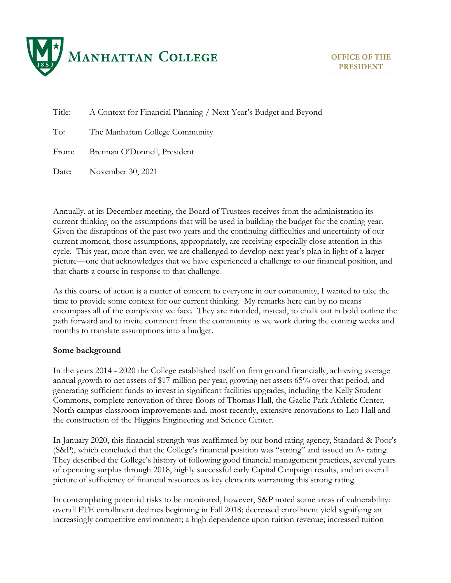

Title: A Context for Financial Planning / Next Year's Budget and Beyond

To: The Manhattan College Community

From: Brennan O'Donnell, President

Date: November 30, 2021

Annually, at its December meeting, the Board of Trustees receives from the administration its current thinking on the assumptions that will be used in building the budget for the coming year. Given the disruptions of the past two years and the continuing difficulties and uncertainty of our current moment, those assumptions, appropriately, are receiving especially close attention in this cycle. This year, more than ever, we are challenged to develop next year's plan in light of a larger picture—one that acknowledges that we have experienced a challenge to our financial position, and that charts a course in response to that challenge.

As this course of action is a matter of concern to everyone in our community, I wanted to take the time to provide some context for our current thinking. My remarks here can by no means encompass all of the complexity we face. They are intended, instead, to chalk out in bold outline the path forward and to invite comment from the community as we work during the coming weeks and months to translate assumptions into a budget.

### **Some background**

In the years 2014 - 2020 the College established itself on firm ground financially, achieving average annual growth to net assets of \$17 million per year, growing net assets 65% over that period, and generating sufficient funds to invest in significant facilities upgrades, including the Kelly Student Commons, complete renovation of three floors of Thomas Hall, the Gaelic Park Athletic Center, North campus classroom improvements and, most recently, extensive renovations to Leo Hall and the construction of the Higgins Engineering and Science Center.

In January 2020, this financial strength was reaffirmed by our bond rating agency, Standard & Poor's (S&P), which concluded that the College's financial position was "strong" and issued an A- rating. They described the College's history of following good financial management practices, several years of operating surplus through 2018, highly successful early Capital Campaign results, and an overall picture of sufficiency of financial resources as key elements warranting this strong rating.

In contemplating potential risks to be monitored, however, S&P noted some areas of vulnerability: overall FTE enrollment declines beginning in Fall 2018; decreased enrollment yield signifying an increasingly competitive environment; a high dependence upon tuition revenue; increased tuition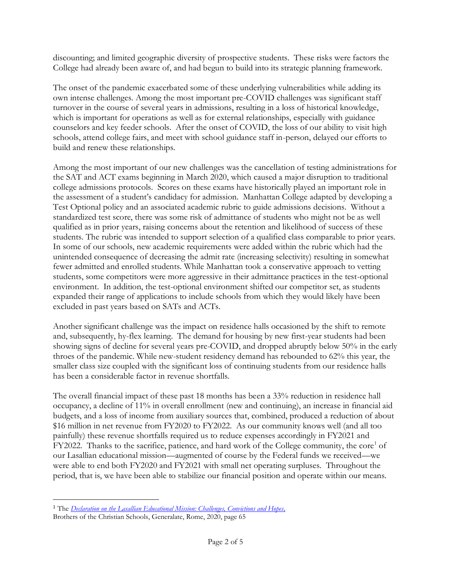discounting; and limited geographic diversity of prospective students. These risks were factors the College had already been aware of, and had begun to build into its strategic planning framework.

The onset of the pandemic exacerbated some of these underlying vulnerabilities while adding its own intense challenges. Among the most important pre-COVID challenges was significant staff turnover in the course of several years in admissions, resulting in a loss of historical knowledge, which is important for operations as well as for external relationships, especially with guidance counselors and key feeder schools. After the onset of COVID, the loss of our ability to visit high schools, attend college fairs, and meet with school guidance staff in-person, delayed our efforts to build and renew these relationships.

Among the most important of our new challenges was the cancellation of testing administrations for the SAT and ACT exams beginning in March 2020, which caused a major disruption to traditional college admissions protocols. Scores on these exams have historically played an important role in the assessment of a student's candidacy for admission. Manhattan College adapted by developing a Test Optional policy and an associated academic rubric to guide admissions decisions. Without a standardized test score, there was some risk of admittance of students who might not be as well qualified as in prior years, raising concerns about the retention and likelihood of success of these students. The rubric was intended to support selection of a qualified class comparable to prior years. In some of our schools, new academic requirements were added within the rubric which had the unintended consequence of decreasing the admit rate (increasing selectivity) resulting in somewhat fewer admitted and enrolled students. While Manhattan took a conservative approach to vetting students, some competitors were more aggressive in their admittance practices in the test-optional environment. In addition, the test-optional environment shifted our competitor set, as students expanded their range of applications to include schools from which they would likely have been excluded in past years based on SATs and ACTs.

Another significant challenge was the impact on residence halls occasioned by the shift to remote and, subsequently, hy-flex learning. The demand for housing by new first-year students had been showing signs of decline for several years pre-COVID, and dropped abruptly below 50% in the early throes of the pandemic. While new-student residency demand has rebounded to 62% this year, the smaller class size coupled with the significant loss of continuing students from our residence halls has been a considerable factor in revenue shortfalls.

The overall financial impact of these past 18 months has been a 33% reduction in residence hall occupancy, a decline of 11% in overall enrollment (new and continuing), an increase in financial aid budgets, and a loss of income from auxiliary sources that, combined, produced a reduction of about \$16 million in net revenue from FY2020 to FY2022. As our community knows well (and all too painfully) these revenue shortfalls required us to reduce expenses accordingly in FY2021 and FY2022. Thanks to the sacrifice, patience, and hard work of the College community, the core<sup>1</sup> of our Lasallian educational mission—augmented of course by the Federal funds we received—we were able to end both FY2020 and FY2021 with small net operating surpluses. Throughout the period, that is, we have been able to stabilize our financial position and operate within our means.

<sup>1</sup> The *[Declaration on the Lasallian Educational Mission: Challenges, Convictions and Hopes,](https://drive.google.com/file/d/1u2hv6qACIKcFdDvDpqrx68wjUQHX6NV6/view?usp=sharing)* Brothers of the Christian Schools, Generalate, Rome, 2020, page 65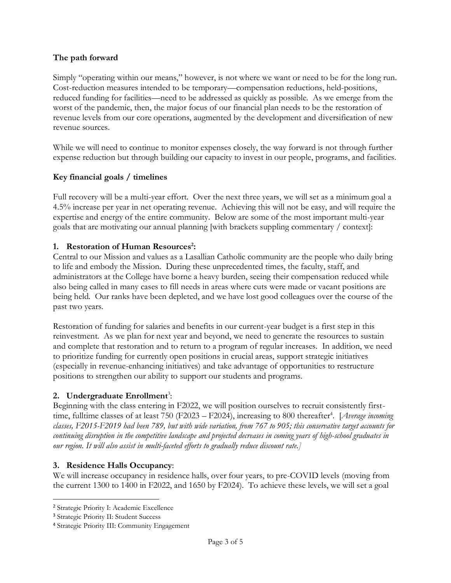## **The path forward**

Simply "operating within our means," however, is not where we want or need to be for the long run. Cost-reduction measures intended to be temporary—compensation reductions, held-positions, reduced funding for facilities—need to be addressed as quickly as possible. As we emerge from the worst of the pandemic, then, the major focus of our financial plan needs to be the restoration of revenue levels from our core operations, augmented by the development and diversification of new revenue sources.

While we will need to continue to monitor expenses closely, the way forward is not through further expense reduction but through building our capacity to invest in our people, programs, and facilities.

## **Key financial goals / timelines**

Full recovery will be a multi-year effort. Over the next three years, we will set as a minimum goal a 4.5% increase per year in net operating revenue. Achieving this will not be easy, and will require the expertise and energy of the entire community. Below are some of the most important multi-year goals that are motivating our annual planning [with brackets suppling commentary / context]:

## **1. Restoration of Human Resources<sup>2</sup> :**

Central to our Mission and values as a Lasallian Catholic community are the people who daily bring to life and embody the Mission. During these unprecedented times, the faculty, staff, and administrators at the College have borne a heavy burden, seeing their compensation reduced while also being called in many cases to fill needs in areas where cuts were made or vacant positions are being held. Our ranks have been depleted, and we have lost good colleagues over the course of the past two years.

Restoration of funding for salaries and benefits in our current-year budget is a first step in this reinvestment. As we plan for next year and beyond, we need to generate the resources to sustain and complete that restoration and to return to a program of regular increases. In addition, we need to prioritize funding for currently open positions in crucial areas, support strategic initiatives (especially in revenue-enhancing initiatives) and take advantage of opportunities to restructure positions to strengthen our ability to support our students and programs.

## 2. Undergraduate Enrollment<sup>3</sup>:

Beginning with the class entering in F2022, we will position ourselves to recruit consistently firsttime, fulltime classes of at least 750 (F2023 – F2024), increasing to 800 thereafter<sup>4</sup>. [*Average incoming classes, F2015-F2019 had been 789, but with wide variation, from 767 to 905; this conservative target accounts for continuing disruption in the competitive landscape and projected decreases in coming years of high-school graduates in our region. It will also assist in multi-faceted efforts to gradually reduce discount rate.]*

### **3. Residence Halls Occupancy**:

We will increase occupancy in residence halls, over four years, to pre-COVID levels (moving from the current 1300 to 1400 in F2022, and 1650 by F2024). To achieve these levels, we will set a goal

<sup>2</sup> Strategic Priority I: Academic Excellence

<sup>3</sup> Strategic Priority II: Student Success

<sup>4</sup> Strategic Priority III: Community Engagement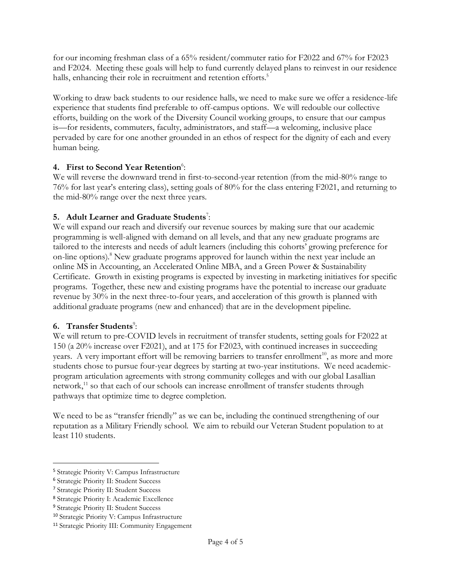for our incoming freshman class of a 65% resident/commuter ratio for F2022 and 67% for F2023 and F2024. Meeting these goals will help to fund currently delayed plans to reinvest in our residence halls, enhancing their role in recruitment and retention efforts.<sup>5</sup>

Working to draw back students to our residence halls, we need to make sure we offer a residence-life experience that students find preferable to off-campus options. We will redouble our collective efforts, building on the work of the Diversity Council working groups, to ensure that our campus is—for residents, commuters, faculty, administrators, and staff—a welcoming, inclusive place pervaded by care for one another grounded in an ethos of respect for the dignity of each and every human being.

## 4. First to Second Year Retention<sup>6</sup>:

We will reverse the downward trend in first-to-second-year retention (from the mid-80% range to 76% for last year's entering class), setting goals of 80% for the class entering F2021, and returning to the mid-80% range over the next three years.

# **5. Adult Learner and Graduate Students**<sup>7</sup> :

We will expand our reach and diversify our revenue sources by making sure that our academic programming is well-aligned with demand on all levels, and that any new graduate programs are tailored to the interests and needs of adult learners (including this cohorts' growing preference for on-line options).<sup>8</sup> New graduate programs approved for launch within the next year include an online MS in Accounting, an Accelerated Online MBA, and a Green Power & Sustainability Certificate. Growth in existing programs is expected by investing in marketing initiatives for specific programs. Together, these new and existing programs have the potential to increase our graduate revenue by 30% in the next three-to-four years, and acceleration of this growth is planned with additional graduate programs (new and enhanced) that are in the development pipeline.

# **6.** Transfer Students<sup>9</sup>:

We will return to pre-COVID levels in recruitment of transfer students, setting goals for F2022 at 150 (a 20% increase over F2021), and at 175 for F2023, with continued increases in succeeding years. A very important effort will be removing barriers to transfer enrollment<sup>10</sup>, as more and more students chose to pursue four-year degrees by starting at two-year institutions. We need academicprogram articulation agreements with strong community colleges and with our global Lasallian network,<sup>11</sup> so that each of our schools can increase enrollment of transfer students through pathways that optimize time to degree completion.

We need to be as "transfer friendly" as we can be, including the continued strengthening of our reputation as a Military Friendly school. We aim to rebuild our Veteran Student population to at least 110 students.

<sup>5</sup> Strategic Priority V: Campus Infrastructure

<sup>6</sup> Strategic Priority II: Student Success

<sup>7</sup> Strategic Priority II: Student Success

<sup>8</sup> Strategic Priority I: Academic Excellence

<sup>9</sup> Strategic Priority II: Student Success

<sup>10</sup> Strategic Priority V: Campus Infrastructure

<sup>11</sup> Strategic Priority III: Community Engagement